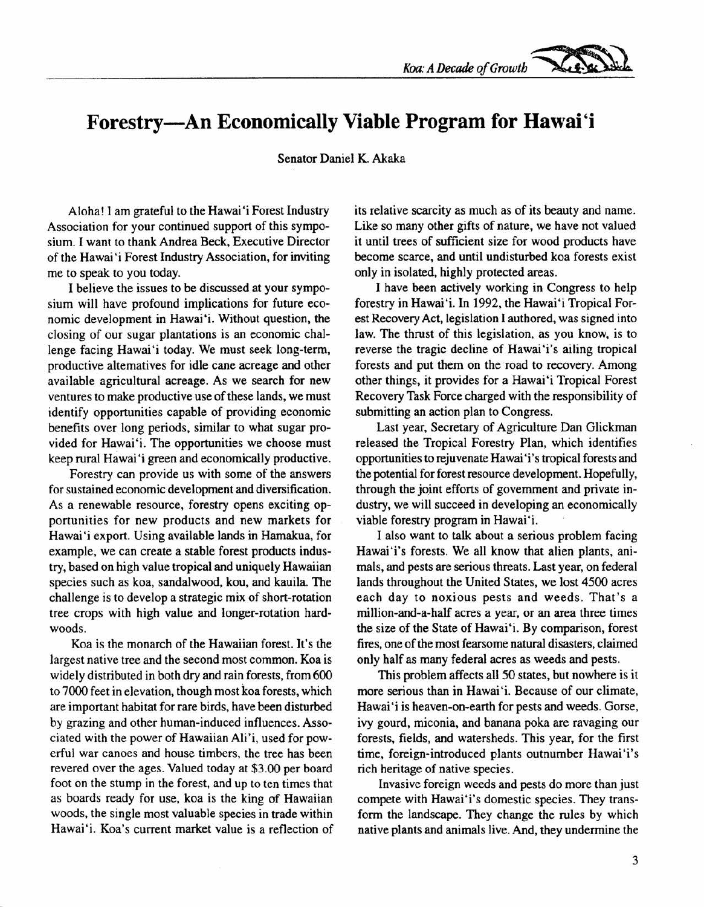## **Forestry-An Economically Viable Program for Hawai'i**

Senator Daniel K. Akaka

Aloha! I am grateful to the Hawai'i Forest Industry Association for your continued support of this symposium. I want to thank Andrea Beck, Executive Director of the Hawai 'i Forest Industry Association, for inviting me to speak to you today.

I believe the issues to be discussed at your symposium will have profound implications for future economic development in Hawai'i. Without question, the closing of our sugar plantations is an economic challenge facing Hawai'i today. We must seek long-term, productive alternatives for idle cane acreage and other available agricultural acreage. As we search for new ventures to make productive use of these lands, we must identify opportunities capable of providing economic benefits over long periods, similar to what sugar provided for Hawai'i. The opportunities we choose must keep rural Hawai'i green and economically productive.

Forestry can provide us with some of the answers for sustained economic development and diversification. As a renewable resource, forestry opens exciting opportunities for new products and new markets for Hawai'i export. Using available lands in Hamakua, for example, we can create a stable forest products industry, based on high value tropical and uniquely Hawaiian species such as koa, sandalwood, kou, and kauila. The challenge is to develop a strategic mix of short-rotation tree crops with high value and longer-rotation hardwoods.

Koa is the monarch of the Hawaiian forest. It's the largest native tree and the second most common. Koa is widely distributed in both dry and rain forests, from 600 to 7000 feet in elevation, though most koa forests, which are important habitat for rare birds, have been disturbed by grazing and other human-induced influences. Associated with the power of Hawaiian Ali'i, used for powerful war canoes and house timbers, the tree has been revered over the ages. Valued today at \$3.00 per board foot on the stump in the forest, and up to ten times that as boards ready for use, koa is the king of Hawaiian woods, the single most valuable species in trade within Hawai'i. Koa's current market value is a reflection of

its relative scarcity as much as of its beauty and name. Like so many other gifts of nature, we have not valued it until trees of sufficient size for wood products have become scarce, and until undisturbed koa forests exist only in isolated, highly protected areas.

I have been actively working in Congress to help forestry in Hawai'i, In 1992, the Hawai'i Tropical Forest Recovery Act, legislation I authored, was signed into law. The thrust of this legislation, as you know, is to reverse the tragic decline of Hawai'i's ailing tropical forests and put them on the road to recovery. Among other things, it provides for a Hawai'i Tropical Forest Recovery Task Force charged with the responsibility of submitting an action plan to Congress.

Last year, Secretary of Agriculture Dan Glickman released the Tropical Forestry Plan, which identifies opportunities to rejuvenate Hawai 'i's tropical forests and the potential for forest resource development. Hopefully, through the joint efforts of government and private industry, we will succeed in developing an economically viable forestry program in Hawai'i,

I also want to talk about a serious problem facing Hawai'i's forests. We all know that alien plants, animals, and pests are serious threats. Last year, on federal lands throughout the United States, we lost 4500 acres each day to noxious pests and weeds. That's a million-and-a-half acres a year, or an area three times the size of the State of Hawai'i. By comparison, forest fires, one of the most fearsome natural disasters, claimed only half as many federal acres as weeds and pests.

This problem affects all 50 states, but nowhere is it more serious than in Hawai'i. Because of our climate, Hawai'i is heaven-on-earth for pests and weeds. Gorse, ivy gourd, miconia, and banana poka are ravaging our forests, fields, and watersheds. This year, for the first time, foreign-introduced plants outnumber Hawai'i's rich heritage of native species.

Invasive foreign weeds and pests do more than just compete with Hawai'i's domestic species. They transform the landscape. They change the rules by which native plants and animals live. And, they undermine the